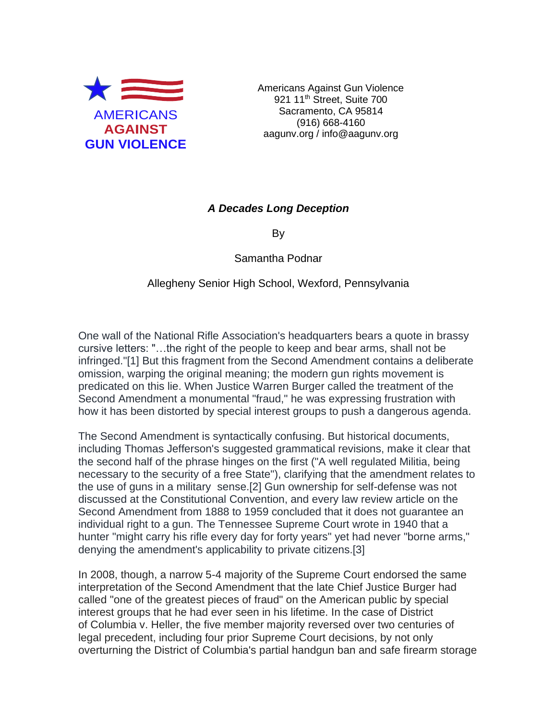

Americans Against Gun Violence 921 11<sup>th</sup> Street, Suite 700 Sacramento, CA 95814 (916) 668-4160 aagunv.org / info@aagunv.org

## *A Decades Long Deception*

By

Samantha Podnar

Allegheny Senior High School, Wexford, Pennsylvania

One wall of the National Rifle Association's headquarters bears a quote in brassy cursive letters: "…the right of the people to keep and bear arms, shall not be infringed."[1] But this fragment from the Second Amendment contains a deliberate omission, warping the original meaning; the modern gun rights movement is predicated on this lie. When Justice Warren Burger called the treatment of the Second Amendment a monumental "fraud," he was expressing frustration with how it has been distorted by special interest groups to push a dangerous agenda.

The Second Amendment is syntactically confusing. But historical documents, including Thomas Jefferson's suggested grammatical revisions, make it clear that the second half of the phrase hinges on the first ("A well regulated Militia, being necessary to the security of a free State"), clarifying that the amendment relates to the use of guns in a military sense.[2] Gun ownership for self-defense was not discussed at the Constitutional Convention, and every law review article on the Second Amendment from 1888 to 1959 concluded that it does not guarantee an individual right to a gun. The Tennessee Supreme Court wrote in 1940 that a hunter "might carry his rifle every day for forty years" yet had never "borne arms," denying the amendment's applicability to private citizens.[3]

In 2008, though, a narrow 5-4 majority of the Supreme Court endorsed the same interpretation of the Second Amendment that the late Chief Justice Burger had called "one of the greatest pieces of fraud" on the American public by special interest groups that he had ever seen in his lifetime. In the case of District of Columbia v. Heller, the five member majority reversed over two centuries of legal precedent, including four prior Supreme Court decisions, by not only overturning the District of Columbia's partial handgun ban and safe firearm storage